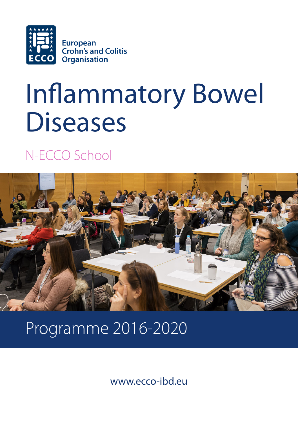

# Inflammatory Bowel **Diseases**

N-ECCO School



# Programme 2016-2020

www.ecco-ibd.eu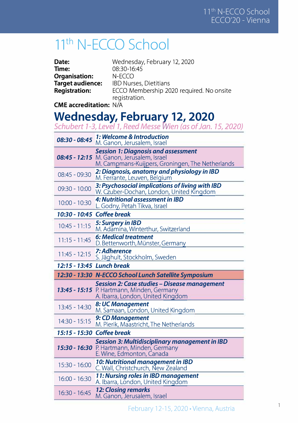### **1 i th N-ECCO School**

| Date:                         | Wednesday, February 12, 2020                              |
|-------------------------------|-----------------------------------------------------------|
| Time:                         | 08:30-16:45                                               |
| Organisation:                 | $N-FCCO$                                                  |
| Target audience:              | <b>IBD Nurses, Dietitians</b>                             |
| <b>Registration:</b>          | ECCO Membership 2020 required. No onsite<br>registration. |
| <b>CME accreditation: N/A</b> |                                                           |

#### **Wednesday, Februarv 12, 2020**

|                 | Schubert 1-3, Level 1, Reed Messe Wien (as of Jan. 15, 2020)                                                                                |
|-----------------|---------------------------------------------------------------------------------------------------------------------------------------------|
| $08:30 - 08:45$ | 1: Welcome & Introduction<br>M. Ganon, Jerusalem, Israel                                                                                    |
|                 | <b>Session 1: Diagnosis and assessment</b><br>08:45 - 12:15 M. Ganon, Jerusalem, Israel<br>M. Campmans-Kuijpers, Groningen, The Netherlands |
| 08:45 - 09:30   | 2: Diagnosis, anatomy and physiology in IBD<br>M. Ferrante, Leuven, Belgium                                                                 |
| $09:30 - 10:00$ | 3: Psychosocial implications of living with IBD<br>W. Czuber-Dochan, London, United Kingdom                                                 |
| $10:00 - 10:30$ | 4: Nutritional assessment in IBD<br>L. Godny, Petah Tikva, Israel                                                                           |
| 10:30 - 10:45   | <b>Coffee break</b>                                                                                                                         |
| $10:45 - 11:15$ | 5: Surgery in IBD<br>M. Adamina, Winterthur, Switzerland                                                                                    |
| $11:15 - 11:45$ | <b>6: Medical treatment</b><br>D. Bettenworth, Münster, Germany                                                                             |
| $11:45 - 12:15$ | 7: Adherence<br>S. Jäghult, Stockholm, Sweden                                                                                               |
|                 |                                                                                                                                             |
|                 | 12:15 - 13:45 Lunch break                                                                                                                   |
|                 | 12:30 - 13:30 N-ECCO School Lunch Satellite Symposium                                                                                       |
|                 | <b>Session 2: Case studies – Disease management</b><br>13:45 - 15:15 P. Hartmann, Minden, Germany                                           |
| $13:45 - 14:30$ | A. Ibarra, London, United Kingdom<br>8: UC Management<br>M. Samaan, London, United Kingdom                                                  |
| $14:30 - 15:15$ | 9: CD Management<br>M. Pierik, Maastricht, The Netherlands                                                                                  |
|                 | 15:15 - 15:30 Coffee break                                                                                                                  |
|                 | <b>Session 3: Multidisciplinary management in IBD</b><br>15:30 - 16:30 P. Hartmann, Minden, Germany<br>E. Wine, Edmonton, Canada            |
| $15:30 - 16:00$ | 10: Nutritional management in IBD<br>C. Wall, Christchurch, New Zealand                                                                     |
| $16:00 - 16:30$ | 11: Nursing roles in IBD management<br>A. Ibarra, London, United Kingdom                                                                    |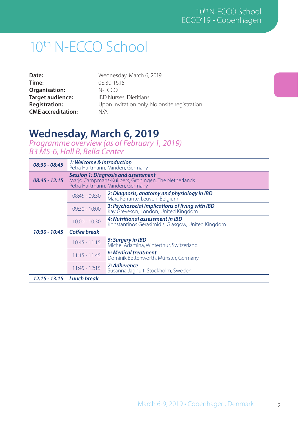# 10th N-ECCO School

| Date:                     |
|---------------------------|
| Time:                     |
| Organisation:             |
| Target audience:          |
| <b>Registration:</b>      |
| <b>CME</b> accreditation: |

Wednesday, March 6, 2019 08:30-16:15 N-ECCO IBD Nurses, Dietitians Upon invitation only. No onsite registration. N/A

#### **Wednesday, March 6, 2019**

*Programme overview (as of February 1, 2019) B3 M5-6, Hall B, Bella Center*

| $08:30 - 08:45$              | 1: Welcome & Introduction<br>Petra Hartmann, Minden, Germany                                                                         |                                                                                         |
|------------------------------|--------------------------------------------------------------------------------------------------------------------------------------|-----------------------------------------------------------------------------------------|
| $08:45 - 12:15$              | <b>Session 1: Diagnosis and assessment</b><br>Marjo Campmans-Kuijpers, Groningen, The Netherlands<br>Petra Hartmann, Minden, Germany |                                                                                         |
|                              | $08:45 - 09:30$                                                                                                                      | 2: Diagnosis, anatomy and physiology in IBD<br>Marc Ferrante, Leuven, Belgium           |
|                              | $09:30 - 10:00$                                                                                                                      | 3: Psychosocial implications of living with IBD<br>Kay Greveson, London, United Kingdom |
|                              | $10:00 - 10:30$                                                                                                                      | 4: Nutritional assessment in IBD<br>Konstantinos Gerasimidis, Glasgow, United Kingdom   |
| $10:30 - 10:45$              | <b>Coffee break</b>                                                                                                                  |                                                                                         |
|                              | $10:45 - 11:15$                                                                                                                      | 5: Surgery in IBD<br>Michel Adamina, Winterthur, Switzerland                            |
|                              | $11:15 - 11:45$                                                                                                                      | 6: Medical treatment<br>Dominik Bettenworth, Münster, Germany                           |
|                              | $11:45 - 12:15$                                                                                                                      | 7: Adherence<br>Susanna Jäghult, Stockholm, Sweden                                      |
| 12:15 - 13:15    Lunch break |                                                                                                                                      |                                                                                         |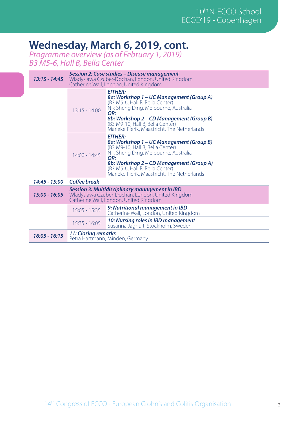#### **Wednesday, March 6, 2019, cont.**

*Programme overview (as of February 1, 2019) B3 M5-6, Hall B, Bella Center*

| 13:15 - 14:45   | Session 2: Case studies – Disease management<br>Wladyslawa Czuber-Dochan, London, United Kingdom<br>Catherine Wall, London, United Kingdom   |                                                                                                                                                                                                                                                                             |
|-----------------|----------------------------------------------------------------------------------------------------------------------------------------------|-----------------------------------------------------------------------------------------------------------------------------------------------------------------------------------------------------------------------------------------------------------------------------|
|                 | $13:15 - 14:00$                                                                                                                              | <b>EITHER:</b><br>8a: Workshop 1 – UC Management (Group A)<br>(B3 M5-6, Hall B, Bella Center)<br>Nik Sheng Ding, Melbourne, Australia<br>OR:<br>8b: Workshop 2 – CD Management (Group B)<br>(B3 M9-10, Hall B, Bella Center)<br>Marieke Pierik, Maastricht, The Netherlands |
|                 | $14:00 - 14:45$                                                                                                                              | <b>EITHER:</b><br>8a: Workshop 1 – UC Management (Group B)<br>(B3 M9-10, Hall B, Bella Center)<br>Nik Sheng Ding, Melbourne, Australia<br>OR:<br>8b: Workshop 2 – CD Management (Group A)<br>(B3 M5-6, Hall B, Bella Center)<br>Marieke Pierik, Maastricht, The Netherlands |
| 14:45 - 15:00   | Coffee break                                                                                                                                 |                                                                                                                                                                                                                                                                             |
| $15:00 - 16:05$ | Session 3: Multidisciplinary management in IBD<br>Wladyslawa Czuber-Dochan, London, United Kingdom<br>Catherine Wall, London, United Kingdom |                                                                                                                                                                                                                                                                             |
|                 | $15:05 - 15:35$                                                                                                                              | 9: Nutritional management in IBD<br>Catherine Wall, London, United Kingdom                                                                                                                                                                                                  |
|                 | $15:35 - 16:05$                                                                                                                              | 10: Nursing roles in IBD management<br>Susanna Jäghult, Stockholm, Sweden                                                                                                                                                                                                   |
| $16:05 - 16:15$ | 11: Closing remarks<br>Petra Hartmann, Minden, Germany                                                                                       |                                                                                                                                                                                                                                                                             |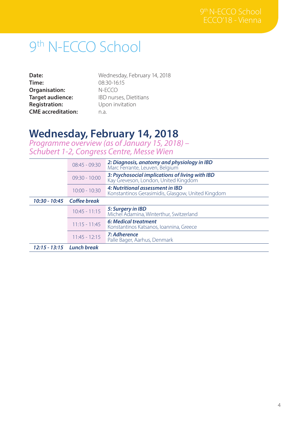# 9th N-ECCO School

| Date:                     |
|---------------------------|
| Time:                     |
| Organisation:             |
| Target audience:          |
| <b>Registration:</b>      |
| <b>CME</b> accreditation: |

Wednesday, February 14, 2018 08:30-16:15 N-ECCO IBD nurses, Dietitians Upon invitation n.a.

#### **Wednesday, February 14, 2018**

*Programme overview (as of January 15, 2018) – Schubert 1-2, Congress Centre, Messe Wien*

|                              | $08:45 - 09:30$            | 2: Diagnosis, anatomy and physiology in IBD<br>Marc Ferrante, Leuven, Belgium           |
|------------------------------|----------------------------|-----------------------------------------------------------------------------------------|
|                              | $09:30 - 10:00$            | 3: Psychosocial implications of living with IBD<br>Kay Greveson, London, United Kingdom |
|                              | $10:00 - 10:30$            | 4: Nutritional assessment in IBD<br>Konstantinos Gerasimidis, Glasgow, United Kingdom   |
|                              | 10:30 - 10:45 Coffee break |                                                                                         |
|                              | $10:45 - 11:15$            | 5: Surgery in IBD<br>Michel Adamina, Winterthur, Switzerland                            |
|                              | $11:15 - 11:45$            | 6: Medical treatment<br>Konstantinos Katsanos, Ioannina, Greece                         |
|                              | $11:45 - 12:15$            | 7: Adherence<br>Palle Bager, Aarhus, Denmark                                            |
| 12:15 - 13:15    Lunch break |                            |                                                                                         |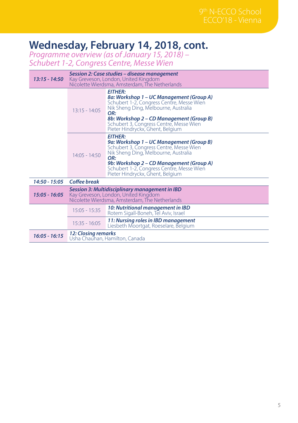#### **Wednesday, February 14, 2018, cont.**

*Programme overview (as of January 15, 2018) – Schubert 1-2, Congress Centre, Messe Wien*

| $13:15 - 14:50$ | Session 2: Case studies - disease management<br>Kay Greveson, London, United Kingdom<br>Nicolette Wierdsma, Amsterdam, The Netherlands   |                                                                                                                                                                                                                                                                                   |
|-----------------|------------------------------------------------------------------------------------------------------------------------------------------|-----------------------------------------------------------------------------------------------------------------------------------------------------------------------------------------------------------------------------------------------------------------------------------|
|                 | $13:15 - 14:05$                                                                                                                          | <b>EITHER:</b><br>8a: Workshop 1 - UC Management (Group A)<br>Schubert 1-2, Congress Centre, Messe Wien<br>Nik Sheng Ding, Melbourne, Australia<br>OR:<br>8b: Workshop 2 – CD Management (Group B)<br>Schubert 3, Congress Centre, Messe Wien<br>Pieter Hindryckx, Ghent, Belgium |
|                 | $14:05 - 14:50$                                                                                                                          | <b>EITHER:</b><br>9a: Workshop 1 – UC Management (Group B)<br>Schubert 3, Congress Centre, Messe Wien<br>Nik Sheng Ding, Melbourne, Australia<br>OR:<br>9b: Workshop 2 - CD Management (Group A)<br>Schubert 1-2, Congress Centre, Messe Wien<br>Pieter Hindryckx, Ghent, Belgium |
| 14:50 - 15:05   | Coffee break                                                                                                                             |                                                                                                                                                                                                                                                                                   |
| $15:05 - 16:05$ | Session 3: Multidisciplinary management in IBD<br>Kay Greveson, London, United Kingdom<br>Nicolette Wierdsma, Amsterdam, The Netherlands |                                                                                                                                                                                                                                                                                   |
|                 | $15:05 - 15:35$                                                                                                                          | 10: Nutritional management in IBD<br>Rotem Sigall-Boneh, Tel Aviv, Israel                                                                                                                                                                                                         |
|                 | $15:35 - 16:05$                                                                                                                          | 11: Nursing roles in IBD management<br>Liesbeth Moortgat, Roeselare, Belgium                                                                                                                                                                                                      |
| $16:05 - 16:15$ | 12: Closing remarks<br>Usha Chauhan, Hamilton, Canada                                                                                    |                                                                                                                                                                                                                                                                                   |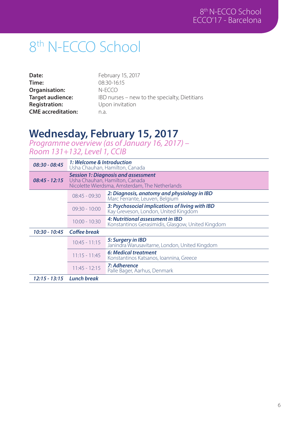# 8<sup>th</sup> N-ECCO School

| Date:                     |
|---------------------------|
| Time:                     |
| Organisation:             |
| Target audience:          |
| <b>Registration:</b>      |
| <b>CME</b> accreditation: |

February 15, 2017 08:30-16:15 N-ECCO IBD nurses – new to the specialty, Dietitians Upon invitation n.a.

#### **Wednesday, February 15, 2017**

*Programme overview (as of January 16, 2017) – Room 131+132, Level 1, CCIB*

| $08:30 - 08:45$ | 1: Welcome & Introduction<br>Usha Chauhan, Hamilton, Canada                                                                    |                                                                                         |
|-----------------|--------------------------------------------------------------------------------------------------------------------------------|-----------------------------------------------------------------------------------------|
| $08:45 - 12:15$ | <b>Session 1: Diagnosis and assessment</b><br>Usha Chauhan, Hamilton, Canada<br>Nicolette Wierdsma, Amsterdam, The Netherlands |                                                                                         |
|                 | $08:45 - 09:30$                                                                                                                | 2: Diagnosis, anatomy and physiology in IBD<br>Marc Ferrante, Leuven, Belgium           |
|                 | $09:30 - 10:00$                                                                                                                | 3: Psychosocial implications of living with IBD<br>Kay Greveson, London, United Kingdom |
|                 | $10:00 - 10:30$                                                                                                                | 4: Nutritional assessment in IBD<br>Konstantinos Gerasimidis, Glasgow, United Kingdom   |
| $10:30 - 10:45$ | Coffee break                                                                                                                   |                                                                                         |
|                 | $10:45 - 11:15$                                                                                                                | 5: Surgery in IBD<br>Janindra Warusavitarne, London, United Kingdom                     |
|                 | $11:15 - 11:45$                                                                                                                | 6: Medical treatment<br>Konstantinos Katsanos, Ioannina, Greece                         |
|                 | $11:45 - 12:15$                                                                                                                | 7: Adherence<br>Palle Bager, Aarhus, Denmark                                            |
|                 | 12:15 - 13:15 Lunch break                                                                                                      |                                                                                         |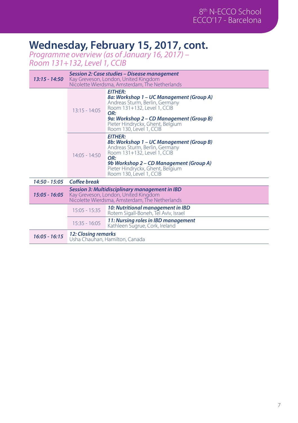#### **Wednesday, February 15, 2017, cont.**

*Programme overview (as of January 16, 2017) – Room 131+132, Level 1, CCIB*

| $13:15 - 14:50$ | Session 2: Case studies – Disease management<br>Kay Greveson, London, United Kingdom<br>Nicolette Wierdsma, Amsterdam, The Netherlands   |                                                                                                                                                                                                                                               |
|-----------------|------------------------------------------------------------------------------------------------------------------------------------------|-----------------------------------------------------------------------------------------------------------------------------------------------------------------------------------------------------------------------------------------------|
|                 | $13:15 - 14:05$                                                                                                                          | <b>EITHER:</b><br>8a: Workshop 1 – UC Management (Group A)<br>Andreas Sturm, Berlin, Germany<br>Room 131+132, Level 1, CCIB<br>OR:<br>9a: Workshop 2 – CD Management (Group B)<br>Pieter Hindryckx, Ghent, Belgium<br>Room 130, Level 1, CCIB |
|                 | $14:05 - 14:50$                                                                                                                          | <b>EITHER:</b><br>8b: Workshop 1 - UC Management (Group B)<br>Andreas Sturm, Berlin, Germany<br>Room 131+132, Level 1, CCIB<br>OR:<br>9b Workshop 2 – CD Management (Group A)<br>Pieter Hindryckx, Ghent, Belgium<br>Room 130, Level 1, CCIB  |
| 14:50 - 15:05   | Coffee break                                                                                                                             |                                                                                                                                                                                                                                               |
| $15:05 - 16:05$ | Session 3: Multidisciplinary management in IBD<br>Kay Greveson, London, United Kingdom<br>Nicolette Wierdsma, Amsterdam, The Netherlands |                                                                                                                                                                                                                                               |
|                 | $15:05 - 15:35$                                                                                                                          | 10: Nutritional management in IBD<br>Rotem Sigall-Boneh, Tel Aviv, Israel                                                                                                                                                                     |
|                 | $15:35 - 16:05$                                                                                                                          | 11: Nursing roles in IBD management<br>Kathleen Sugrue, Cork, Ireland                                                                                                                                                                         |
| $16:05 - 16:15$ | 12: Closing remarks<br>Usha Chauhan, Hamilton, Canada                                                                                    |                                                                                                                                                                                                                                               |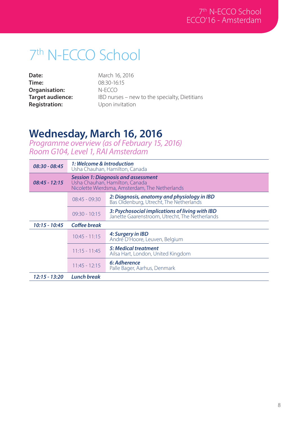# 7th N-ECCO School

**Date: Time: Organisation: Target audience: Registration:** 

March 16, 2016 08:30-16:15 N-ECCO IBD nurses – new to the specialty, Dietitians Upon invitation

#### **Wednesday, March 16, 2016**

*Programme overview (as of February 15, 2016) Room G104, Level 1, RAI Amsterdam*

| $08:30 - 08:45$ | 1: Welcome & Introduction<br>Usha Chauhan, Hamilton, Canada                                                                    |                                                                                                   |
|-----------------|--------------------------------------------------------------------------------------------------------------------------------|---------------------------------------------------------------------------------------------------|
| $08:45 - 12:15$ | <b>Session 1: Diagnosis and assessment</b><br>Usha Chauhan, Hamilton, Canada<br>Nicolette Wierdsma, Amsterdam, The Netherlands |                                                                                                   |
|                 | $08:45 - 09:30$                                                                                                                | 2: Diagnosis, anatomy and physiology in IBD<br>Bas Oldenburg, Utrecht, The Netherlands            |
|                 | $09:30 - 10:15$                                                                                                                | 3: Psychosocial implications of living with IBD<br>Janette Gaarenstroom, Utrecht, The Netherlands |
| $10:15 - 10:45$ | Coffee break                                                                                                                   |                                                                                                   |
|                 | $10:45 - 11:15$                                                                                                                | 4: Surgery in IBD<br>André D'Hoore, Leuven, Belgium                                               |
|                 | $11:15 - 11:45$                                                                                                                | 5: Medical treatment<br>Ailsa Hart, London, United Kingdom                                        |
|                 | $11:45 - 12:15$                                                                                                                | 6: Adherence<br>Palle Bager, Aarhus, Denmark                                                      |
| 12:15 - 13:20   | <b>Lunch break</b>                                                                                                             |                                                                                                   |